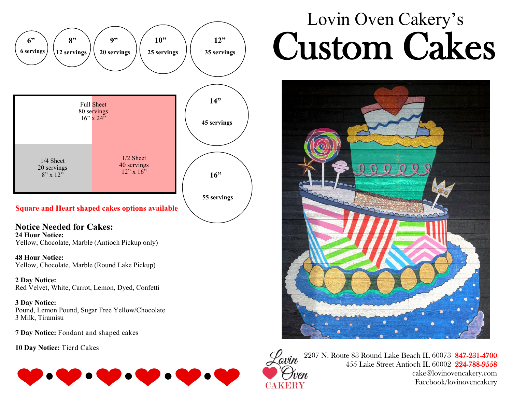

#### **Square and Heart shaped cakes options available**

### **Notice Needed for Cakes:**

**24 Hour Notice:**  Yellow, Chocolate, Marble (Antioch Pickup only)

**48 Hour Notice:**  Yellow, Chocolate, Marble (Round Lake Pickup)

**2 Day Notice:** Red Velvet, White, Carrot, Lemon, Dyed, Confetti

**3 Day Notice:**  Pound, Lemon Pound, Sugar Free Yellow/Chocolate 3 Milk, Tiramisu

**7 Day Notice:** Fondant and shaped cakes

**10 Day Notice:** Tierd Cakes



# Lovin Oven Cakery's Custom Cakes





2207 N. Route 83 Round Lake Beach IL 60073 847-231-4700 455 Lake Street Antioch IL 60002 224-788-9558 cake@lovinovencakery.com Facebook/lovinovencakery